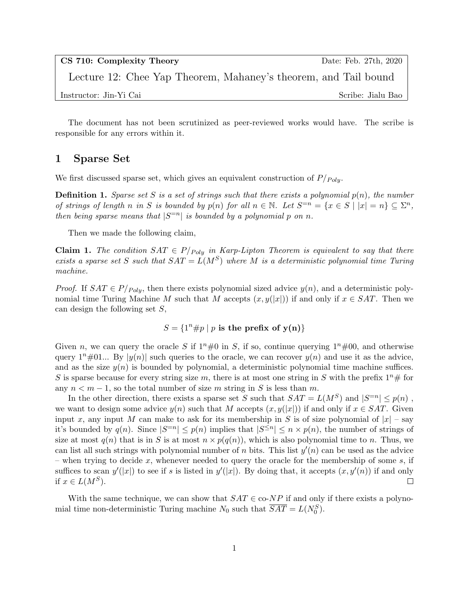| CS 710: Complexity Theory                                       | Date: Feb. 27th, 2020 |
|-----------------------------------------------------------------|-----------------------|
| Lecture 12: Chee Yap Theorem, Mahaney's theorem, and Tail bound |                       |
| Instructor: Jin-Yi Cai                                          | Scribe: Jialu Bao     |

The document has not been scrutinized as peer-reviewed works would have. The scribe is responsible for any errors within it.

### 1 Sparse Set

We first discussed sparse set, which gives an equivalent construction of  $P/_{Polu}$ .

**Definition 1.** Sparse set S is a set of strings such that there exists a polynomial  $p(n)$ , the number of strings of length n in S is bounded by  $p(n)$  for all  $n \in \mathbb{N}$ . Let  $S^{-n} = \{x \in S \mid |x| = n\} \subseteq \Sigma^n$ , then being sparse means that  $|S^{=n}|$  is bounded by a polynomial p on n.

Then we made the following claim,

**Claim 1.** The condition  $SAT \in P_{Poly}$  in Karp-Lipton Theorem is equivalent to say that there exists a sparse set S such that  $SAT = L(M^S)$  where M is a deterministic polynomial time Turing machine.

*Proof.* If  $SAT \in P_{Poly}$ , then there exists polynomial sized advice  $y(n)$ , and a deterministic polynomial time Turing Machine M such that M accepts  $(x, y(|x|))$  if and only if  $x \in SAT$ . Then we can design the following set S,

 $S = \{1^n \# p \mid p \text{ is the prefix of } y(n)\}\$ 

Given n, we can query the oracle S if  $1^n\#0$  in S, if so, continue querying  $1^n\#00$ , and otherwise query  $1^n \# 01...$  By  $|y(n)|$  such queries to the oracle, we can recover  $y(n)$  and use it as the advice, and as the size  $y(n)$  is bounded by polynomial, a deterministic polynomial time machine suffices. S is sparse because for every string size m, there is at most one string in S with the prefix  $1^n \#$  for any  $n < m - 1$ , so the total number of size m string in S is less than m.

In the other direction, there exists a sparse set S such that  $SAT = L(M^S)$  and  $|S^{=n}| \leq p(n)$ , we want to design some advice  $y(n)$  such that M accepts  $(x, y(|x|))$  if and only if  $x \in SAT$ . Given input x, any input M can make to ask for its membership in S is of size polynomial of  $|x|$  – say it's bounded by  $q(n)$ . Since  $|S^{-n}| \leq p(n)$  implies that  $|S^{\leq n}| \leq n \times p(n)$ , the number of strings of size at most  $q(n)$  that is in S is at most  $n \times p(q(n))$ , which is also polynomial time to n. Thus, we can list all such strings with polynomial number of n bits. This list  $y'(n)$  can be used as the advice – when trying to decide x, whenever needed to query the oracle for the membership of some  $s$ , if suffices to scan  $y'(x)$  to see if s is listed in  $y'(x)$ . By doing that, it accepts  $(x, y'(n))$  if and only if  $x \in L(M^S)$ .  $\Box$ 

With the same technique, we can show that  $SAT \in \text{co-}NP$  if and only if there exists a polynomial time non-deterministic Turing machine  $N_0$  such that  $\overline{SAT} = L(N_0^S)$ .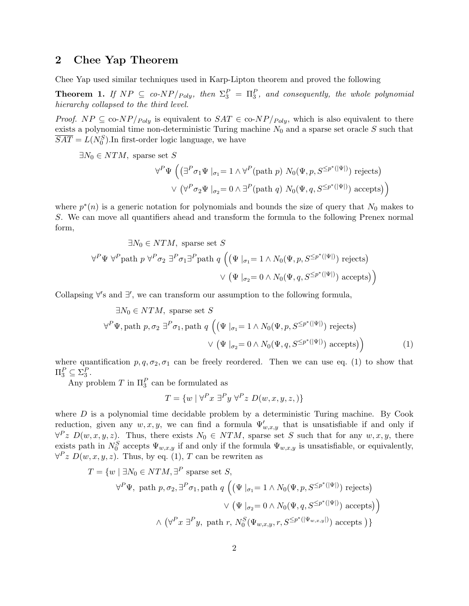## 2 Chee Yap Theorem

Chee Yap used similar techniques used in Karp-Lipton theorem and proved the following

**Theorem 1.** If  $NP \subseteq co-NP/p_{oly}$ , then  $\Sigma_3^P = \Pi_3^P$ , and consequently, the whole polynomial hierarchy collapsed to the third level.

*Proof.*  $NP \subseteq \text{co-}NP/p_{oly}$  is equivalent to  $SAT \in \text{co-}NP/p_{oly}$ , which is also equivalent to there exists a polynomial time non-deterministic Turing machine  $N_0$  and a sparse set oracle S such that  $\overline{SAT} = L(N_0^S)$ . In first-order logic language, we have

 $\exists N_0 \in NTM$ , sparse set S

$$
\forall^{P} \Psi \left( \left( \exists^{P} \sigma_{1} \Psi \mid_{\sigma_{1}} = 1 \land \forall^{P} (\text{path } p) \ N_{0}(\Psi, p, S^{\leq p^{*}(|\Psi|)}) \text{ rejects} \right) \right)
$$

$$
\lor \left( \forall^{P} \sigma_{2} \Psi \mid_{\sigma_{2}} = 0 \land \exists^{P} (\text{path } q) \ N_{0}(\Psi, q, S^{\leq p^{*}(|\Psi|)}) \text{ accepts} \right)
$$

where  $p^*(n)$  is a generic notation for polynomials and bounds the size of query that  $N_0$  makes to S. We can move all quantifiers ahead and transform the formula to the following Prenex normal form,

$$
\exists N_0 \in NTM, \text{ sparse set } S
$$
  

$$
\forall^P \Psi \ \forall^P \text{path } p \ \forall^P \sigma_2 \ \exists^P \sigma_1 \exists^P \text{path } q \ \Big( \big( \Psi \mid_{\sigma_1} = 1 \land N_0(\Psi, p, S^{\leq p^*(|\Psi|)}) \text{ rejects} \big)
$$
  

$$
\lor \ \big( \Psi \mid_{\sigma_2} = 0 \land N_0(\Psi, q, S^{\leq p^*(|\Psi|)}) \text{ accepts} \big) \Big)
$$

Collapsing  $\forall$ 's and  $\exists'$ , we can transform our assumption to the following formula,

$$
\exists N_0 \in NTM, \text{ sparse set } S
$$
  

$$
\forall^P \Psi, \text{path } p, \sigma_2 \exists^P \sigma_1, \text{path } q \left( \left( \Psi \mid_{\sigma_1} = 1 \land N_0(\Psi, p, S^{\leq p^*(|\Psi|)}) \text{ rejects} \right) \right)
$$
  

$$
\lor \left( \Psi \mid_{\sigma_2} = 0 \land N_0(\Psi, q, S^{\leq p^*(|\Psi|)}) \text{ accepts} \right)
$$
  
(1)

where quantification  $p, q, \sigma_2, \sigma_1$  can be freely reordered. Then we can use eq. (1) to show that  $\Pi_3^P \subseteq \Sigma_3^P$ .

Any problem  $T$  in  $\Pi_3^P$  can be formulated as

$$
T = \{ w \mid \forall^P x \exists^P y \; \forall^P z \; D(w, x, y, z, ) \}
$$

where  $D$  is a polynomial time decidable problem by a deterministic Turing machine. By Cook reduction, given any  $w, x, y$ , we can find a formula  $\Psi'_{w,x,y}$  that is unsatisfiable if and only if  $\forall P z \ D(w, x, y, z)$ . Thus, there exists  $N_0 \in NTM$ , sparse set S such that for any  $w, x, y$ , there exists path in  $N_0^S$  accepts  $\Psi_{w,x,y}$  if and only if the formula  $\Psi_{w,x,y}$  is unsatisfiable, or equivalently,  $\forall P z D(w, x, y, z)$ . Thus, by eq. (1), T can be rewriten as

$$
T = \{w \mid \exists N_0 \in NTM, \exists^P \text{ sparse set } S,
$$
  

$$
\forall^P \Psi, \text{ path } p, \sigma_2, \exists^P \sigma_1, \text{ path } q \left( \left( \Psi \mid_{\sigma_1} = 1 \land N_0(\Psi, p, S^{\leq p^*(|\Psi|)}) \text{ rejects} \right) \right)
$$
  

$$
\lor \left( \Psi \mid_{\sigma_2} = 0 \land N_0(\Psi, q, S^{\leq p^*(|\Psi|)}) \text{ accepts} \right) \}
$$
  

$$
\land \left( \forall^P x \exists^P y, \text{ path } r, N_0^S(\Psi_{w,x,y}, r, S^{\leq p^*(|\Psi_{w,x,y}|)}) \text{ accepts} \right) \}
$$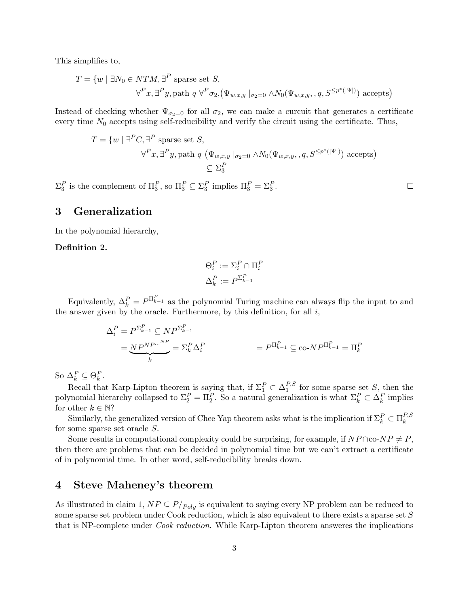This simplifies to,

$$
T = \{w \mid \exists N_0 \in NTM, \exists^P \text{ sparse set } S, \forall^P x, \exists^P y, \text{path } q \forall^P \sigma_2, (\Psi_{w,x,y} \mid_{\sigma_2=0} \land N_0(\Psi_{w,x,y}, q, S^{\leq p^*(|\Psi|)}) \text{ accepts})
$$

Instead of checking whether  $\Psi_{\sigma_2=0}$  for all  $\sigma_2$ , we can make a curcuit that generates a certificate every time  $N_0$  accepts using self-reducibility and verify the circuit using the certificate. Thus,

$$
T = \{w \mid \exists^P C, \exists^P \text{ sparse set } S, \forall^P x, \exists^P y, \text{path } q \ (\Psi_{w,x,y} \mid_{\sigma_2=0} \land N_0(\Psi_{w,x,y}, q, S^{\leq p^*(|\Psi|)}) \text{ accepts}) \}
$$

$$
\subseteq \Sigma_3^P
$$

 $\Sigma_3^P$  is the complement of  $\Pi_3^P$ , so  $\Pi_3^P \subseteq \Sigma_3^P$  implies  $\Pi_3^P = \Sigma_3^P$ .

### $\Box$

# 3 Generalization

In the polynomial hierarchy,

### Definition 2.

$$
\Theta_i^P := \Sigma_i^P \cap \Pi_i^P
$$

$$
\Delta_k^P := P^{\Sigma_{k-1}^P}
$$

Equivalently,  $\Delta_k^P = P^{\Pi_{k-1}^P}$  as the polynomial Turing machine can always flip the input to and the answer given by the oracle. Furthermore, by this definition, for all  $i$ ,

$$
\Delta_i^P = P^{\Sigma_{k-1}^P} \subseteq NP^{\Sigma_{k-1}^P}
$$
  
= 
$$
\underbrace{NP^{NP\cdots NP}}_k = \Sigma_k^P \Delta_i^P
$$
  
= 
$$
P^{\Pi_{k-1}^P} \subseteq \text{co-}NP^{\Pi_{k-1}^P} = \Pi_k^P
$$

So  $\Delta_k^P \subseteq \Theta_k^P$ .

 $\Delta_k \subseteq \Theta_k$ .<br>Recall that Karp-Lipton theorem is saying that, if  $\Sigma_1^P \subset \Delta_1^{P,S}$  $_1^{F, S}$  for some sparse set S, then the polynomial hierarchy collapsed to  $\Sigma_2^P = \Pi_2^P$ . So a natural generalization is what  $\Sigma_k^P \subset \Delta_k^P$  implies for other  $k \in \mathbb{N}$ ?

Similarly, the generalized version of Chee Yap theorem asks what is the implication if  $\Sigma_k^P \subset \Pi_k^{P,S}$ k for some sparse set oracle S.

Some results in computational complexity could be surprising, for example, if  $NP \cap co-NP \neq P$ , then there are problems that can be decided in polynomial time but we can't extract a certificate of in polynomial time. In other word, self-reducibility breaks down.

## 4 Steve Maheney's theorem

As illustrated in claim 1,  $NP \subseteq P/p_{oly}$  is equivalent to saying every NP problem can be reduced to some sparse set problem under Cook reduction, which is also equivalent to there exists a sparse set S that is NP-complete under Cook reduction. While Karp-Lipton theorem answeres the implications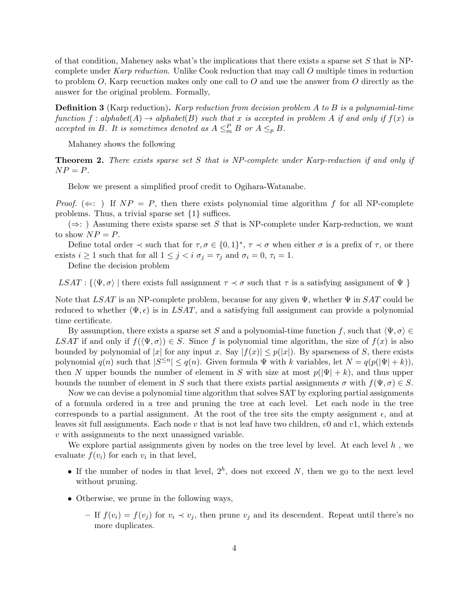of that condition, Maheney asks what's the implications that there exists a sparse set  $S$  that is NPcomplete under Karp reduction. Unlike Cook reduction that may call O multiple times in reduction to problem  $O$ , Karp recuction makes only one call to  $O$  and use the answer from  $O$  directly as the answer for the original problem. Formally,

**Definition 3** (Karp reduction). Karp reduction from decision problem A to B is a polynomial-time function f : alphabet(A)  $\rightarrow$  alphabet(B) such that x is accepted in problem A if and only if  $f(x)$  is accepted in B. It is sometimes denoted as  $A \leq_m^P B$  or  $A \leq_p B$ .

Mahaney shows the following

Theorem 2. There exists sparse set S that is NP-complete under Karp-reduction if and only if  $NP = P$ .

Below we present a simplified proof credit to Ogihara-Watanabe.

*Proof.* ( $\Leftarrow$ : ) If  $NP = P$ , then there exists polynomial time algorithm f for all NP-complete problems. Thus, a trivial sparse set {1} suffices.

 $(\Rightarrow)$ : ) Assuming there exists sparse set S that is NP-complete under Karp-reduction, we want to show  $NP = P$ .

Define total order  $\prec$  such that for  $\tau, \sigma \in \{0,1\}^*, \tau \prec \sigma$  when either  $\sigma$  is a prefix of  $\tau$ , or there exists  $i \geq 1$  such that for all  $1 \leq j < i$   $\sigma_j = \tau_j$  and  $\sigma_i = 0$ ,  $\tau_i = 1$ .

Define the decision problem

 $LSAT: \{ \langle \Psi, \sigma \rangle \}$  there exists full assignment  $\tau \prec \sigma$  such that  $\tau$  is a satisfying assignment of  $\Psi$  }

Note that LSAT is an NP-complete problem, because for any given  $\Psi$ , whether  $\Psi$  in SAT could be reduced to whether  $(\Psi, \epsilon)$  is in LSAT, and a satisfying full assignment can provide a polynomial time certificate.

By assumption, there exists a sparse set S and a polynomial-time function f, such that  $\langle \Psi, \sigma \rangle \in$ LSAT if and only if  $f(\langle \Psi, \sigma \rangle) \in S$ . Since f is polynomial time algorithm, the size of  $f(x)$  is also bounded by polynomial of |x| for any input x. Say  $|f(x)| \leq p(|x|)$ . By sparseness of S, there exists polynomial  $q(n)$  such that  $|S^{\leq n}| \leq q(n)$ . Given formula  $\Psi$  with k variables, let  $N = q(p(|\Psi| + k))$ , then N upper bounds the number of element in S with size at most  $p(|\Psi| + k)$ , and thus upper bounds the number of element in S such that there exists partial assignments  $\sigma$  with  $f(\Psi, \sigma) \in S$ .

Now we can devise a polynomial time algorithm that solves SAT by exploring partial assignments of a formula ordered in a tree and pruning the tree at each level. Let each node in the tree corresponds to a partial assignment. At the root of the tree sits the empty assignment  $\epsilon$ , and at leaves sit full assignments. Each node v that is not leaf have two children,  $v0$  and  $v1$ , which extends v with assignments to the next unassigned variable.

We explore partial assignments given by nodes on the tree level by level. At each level  $h$ , we evaluate  $f(v_i)$  for each  $v_i$  in that level,

- If the number of nodes in that level,  $2^h$ , does not exceed N, then we go to the next level without pruning.
- Otherwise, we prune in the following ways,
	- If  $f(v_i) = f(v_j)$  for  $v_i \prec v_j$ , then prune  $v_j$  and its descendent. Repeat until there's no more duplicates.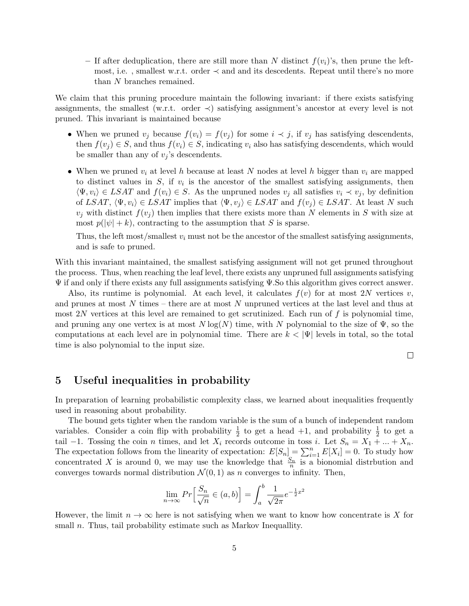– If after deduplication, there are still more than N distinct  $f(v_i)$ 's, then prune the leftmost, i.e., smallest w.r.t. order  $\prec$  and and its descedents. Repeat until there's no more than N branches remained.

We claim that this pruning procedure maintain the following invariant: if there exists satisfying assignments, the smallest (w.r.t. order  $\prec$ ) satisfying assignment's ancestor at every level is not pruned. This invariant is maintained because

- When we pruned  $v_i$  because  $f(v_i) = f(v_i)$  for some  $i \prec j$ , if  $v_j$  has satisfying descendents, then  $f(v_i) \in S$ , and thus  $f(v_i) \in S$ , indicating  $v_i$  also has satisfying descendents, which would be smaller than any of  $v_i$ 's descendents.
- When we pruned  $v_i$  at level h because at least N nodes at level h bigger than  $v_i$  are mapped to distinct values in  $S$ , if  $v_i$  is the ancestor of the smallest satisfying assignments, then  $\langle \Psi, v_i \rangle \in \text{LSAT}$  and  $f(v_i) \in S$ . As the unpruned nodes  $v_i$  all satisfies  $v_i \prec v_j$ , by definition of LSAT,  $\langle \Psi, v_i \rangle \in LSAT$  implies that  $\langle \Psi, v_j \rangle \in LSAT$  and  $f(v_j) \in LSAT$ . At least N such  $v_j$  with distinct  $f(v_j)$  then implies that there exists more than N elements in S with size at most  $p(|\psi| + k)$ , contracting to the assumption that S is sparse.

Thus, the left most/smallest  $v_i$  must not be the ancestor of the smallest satisfying assignments, and is safe to pruned.

With this invariant maintained, the smallest satisfying assignment will not get pruned throughout the process. Thus, when reaching the leaf level, there exists any unpruned full assignments satisfying Ψ if and only if there exists any full assignments satisfying Ψ.So this algorithm gives correct answer.

Also, its runtime is polynomial. At each level, it calculates  $f(v)$  for at most 2N vertices v, and prunes at most N times – there are at most N unpruned vertices at the last level and thus at most  $2N$  vertices at this level are remained to get scrutinized. Each run of f is polynomial time, and pruning any one vertex is at most  $N \log(N)$  time, with N polynomial to the size of  $\Psi$ , so the computations at each level are in polynomial time. There are  $k < |\Psi|$  levels in total, so the total time is also polynomial to the input size.

 $\Box$ 

## 5 Useful inequalities in probability

In preparation of learning probabilistic complexity class, we learned about inequalities frequently used in reasoning about probability.

The bound gets tighter when the random variable is the sum of a bunch of independent random variables. Consider a coin flip with probability  $\frac{1}{2}$  to get a head  $+1$ , and probability  $\frac{1}{2}$  to get a tail −1. Tossing the coin *n* times, and let  $X_i$  records outcome in toss *i*. Let  $S_n = X_1 + ... + X_n$ . The expectation follows from the linearity of expectation:  $E[S_n] = \sum_{i=1}^n E[X_i] = 0$ . To study how concentrated X is around 0, we may use the knowledge that  $\frac{S_n}{n}$  is a bionomial distrbution and converges towards normal distribution  $\mathcal{N}(0, 1)$  as n converges to infinity. Then,

$$
\lim_{n \to \infty} Pr\left[\frac{S_n}{\sqrt{n}} \in (a, b)\right] = \int_a^b \frac{1}{\sqrt{2\pi}} e^{-\frac{1}{2}x^2}
$$

However, the limit  $n \to \infty$  here is not satisfying when we want to know how concentrate is X for small *n*. Thus, tail probability estimate such as Markov Inequallity.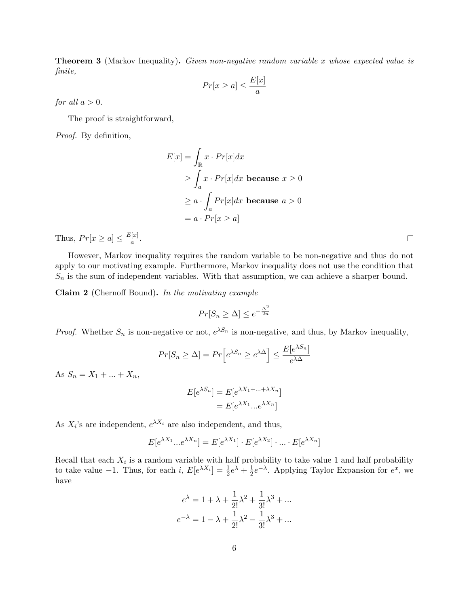**Theorem 3** (Markov Inequality). Given non-negative random variable x whose expected value is finite,

$$
Pr[x \ge a] \le \frac{E[x]}{a}
$$

for all  $a > 0$ .

The proof is straightforward,

Proof. By definition,

$$
E[x] = \int_{\mathbb{R}} x \cdot Pr[x] dx
$$
  
\n
$$
\geq \int_{a} x \cdot Pr[x] dx \text{ because } x \geq 0
$$
  
\n
$$
\geq a \cdot \int_{a} Pr[x] dx \text{ because } a > 0
$$
  
\n
$$
= a \cdot Pr[x \geq a]
$$

Thus,  $Pr[x \ge a] \le \frac{E[x]}{a}$  $\frac{[x]}{a}$ .

However, Markov inequality requires the random variable to be non-negative and thus do not apply to our motivating example. Furthermore, Markov inequality does not use the condition that  $S_n$  is the sum of independent variables. With that assumption, we can achieve a sharper bound.

Claim 2 (Chernoff Bound). In the motivating example

$$
Pr[S_n \ge \Delta] \le e^{-\frac{\Delta^2}{2n}}
$$

*Proof.* Whether  $S_n$  is non-negative or not,  $e^{\lambda S_n}$  is non-negative, and thus, by Markov inequality,

$$
Pr[S_n \ge \Delta] = Pr\left[e^{\lambda S_n} \ge e^{\lambda \Delta}\right] \le \frac{E[e^{\lambda S_n}]}{e^{\lambda \Delta}}
$$

As  $S_n = X_1 + ... + X_n$ ,

$$
E[e^{\lambda S_n}] = E[e^{\lambda X_1 + \dots + \lambda X_n}]
$$

$$
= E[e^{\lambda X_1} \dots e^{\lambda X_n}]
$$

As  $X_i$ 's are independent,  $e^{\lambda X_i}$  are also independent, and thus,

$$
E[e^{\lambda X_1} \dots e^{\lambda X_n}] = E[e^{\lambda X_1}] \cdot E[e^{\lambda X_2}] \cdot \dots \cdot E[e^{\lambda X_n}]
$$

Recall that each  $X_i$  is a random variable with half probability to take value 1 and half probability to take value  $-1$ . Thus, for each i,  $E[e^{\lambda X_i}] = \frac{1}{2}e^{\lambda} + \frac{1}{2}$  $\frac{1}{2}e^{-\lambda}$ . Applying Taylor Expansion for  $e^x$ , we have

$$
e^{\lambda} = 1 + \lambda + \frac{1}{2!} \lambda^2 + \frac{1}{3!} \lambda^3 + \dots
$$

$$
e^{-\lambda} = 1 - \lambda + \frac{1}{2!} \lambda^2 - \frac{1}{3!} \lambda^3 + \dots
$$

 $\Box$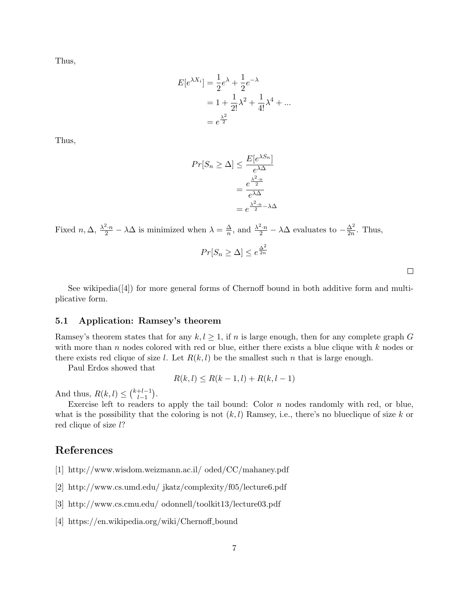Thus,

$$
E[e^{\lambda X_i}] = \frac{1}{2}e^{\lambda} + \frac{1}{2}e^{-\lambda}
$$
  
=  $1 + \frac{1}{2!}\lambda^2 + \frac{1}{4!}\lambda^4 + ...$   
=  $e^{\frac{\lambda^2}{2}}$ 

Thus,

$$
Pr[S_n \ge \Delta] \le \frac{E[e^{\lambda S_n}]}{e^{\lambda \Delta}}
$$

$$
= \frac{e^{\frac{\lambda^2 \cdot n}{2}}}{e^{\lambda \Delta}}
$$

$$
= e^{\frac{\lambda^2 \cdot n}{2} - \lambda \Delta}
$$

Fixed  $n, \Delta, \frac{\lambda^2 \cdot n}{2} - \lambda \Delta$  is minimized when  $\lambda = \frac{\Delta}{n}$  $\frac{\Delta}{n}$ , and  $\frac{\lambda^2 \cdot n}{2} - \lambda \Delta$  evaluates to  $-\frac{\Delta^2}{2n}$  $\frac{\Delta^2}{2n}$ . Thus,

$$
Pr[S_n \ge \Delta] \le e^{\frac{\Delta^2}{2n}}
$$

 $\Box$ 

See wikipedia([4]) for more general forms of Chernoff bound in both additive form and multiplicative form.

#### 5.1 Application: Ramsey's theorem

Ramsey's theorem states that for any  $k, l \geq 1$ , if n is large enough, then for any complete graph G with more than n nodes colored with red or blue, either there exists a blue clique with  $k$  nodes or there exists red clique of size l. Let  $R(k, l)$  be the smallest such n that is large enough.

Paul Erdos showed that

$$
R(k,l) \leq R(k-1,l) + R(k,l-1)
$$

And thus,  $R(k, l) \leq {k+l-1 \choose l-1}$  $\frac{+l-1}{l-1}$ .

Exercise left to readers to apply the tail bound: Color  $n$  nodes randomly with red, or blue, what is the possibility that the coloring is not  $(k, l)$  Ramsey, i.e., there's no blueclique of size k or red clique of size l?

# References

- [1] http://www.wisdom.weizmann.ac.il/ oded/CC/mahaney.pdf
- [2] http://www.cs.umd.edu/ jkatz/complexity/f05/lecture6.pdf
- [3] http://www.cs.cmu.edu/ odonnell/toolkit13/lecture03.pdf
- [4] https://en.wikipedia.org/wiki/Chernoff bound